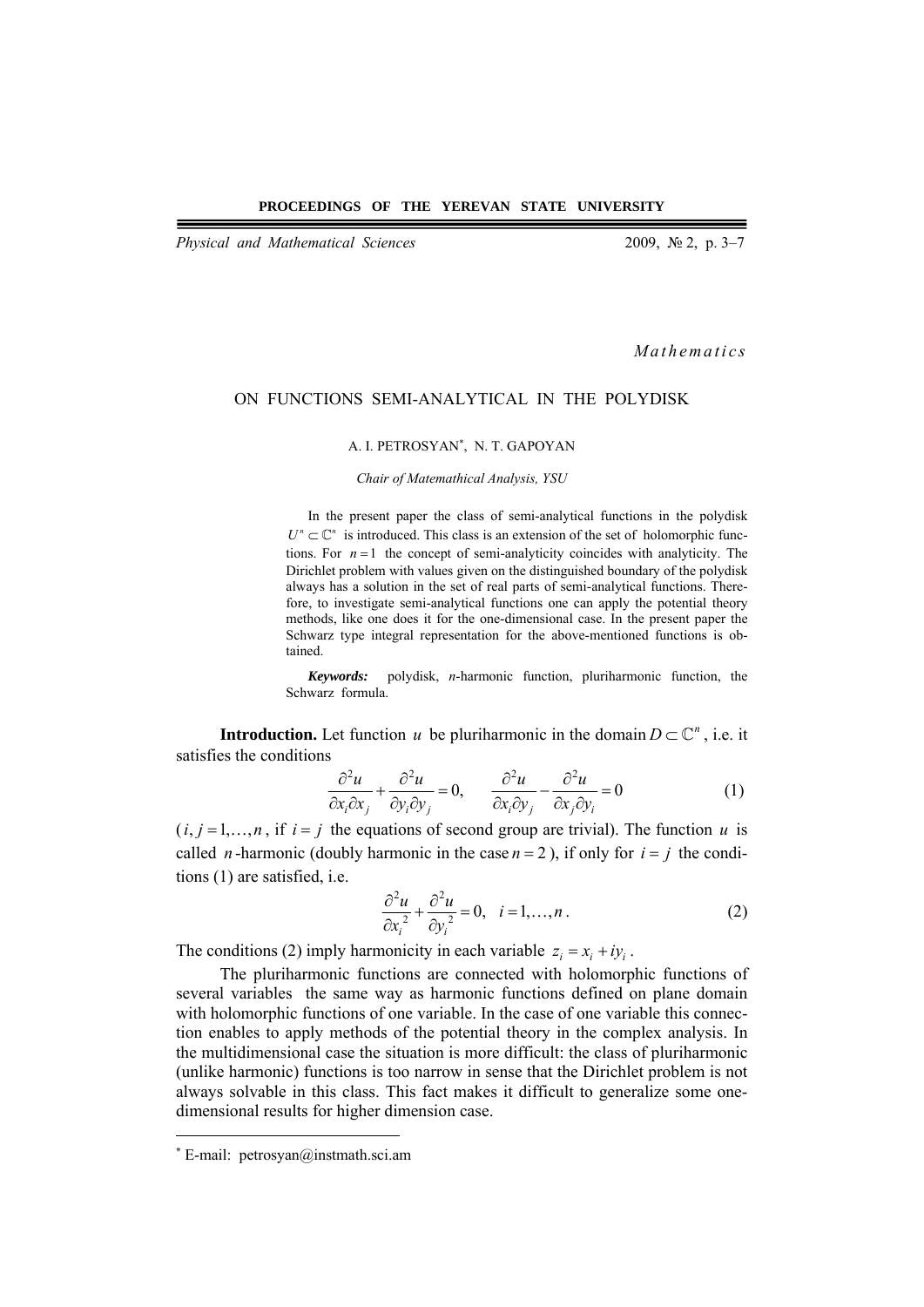*Physical and Mathematical Sciences* 2009, № 2, p. 3–7

*Mathematics* 

# ON FUNCTIONS SEMI-ANALYTICAL IN THE POLYDISK

### A. I. PETROSYAN<sup>∗</sup> , N. T. GAPOYAN

*Chair of Matemathical Analysis, YSU* 

In the present paper the class of semi-analytical functions in the polydisk  $U^n \subset \mathbb{C}^n$  is introduced. This class is an extension of the set of holomorphic functions. For  $n = 1$  the concept of semi-analyticity coincides with analyticity. The Dirichlet problem with values given on the distinguished boundary of the polydisk always has a solution in the set of real parts of semi-analytical functions. Therefore, to investigate semi-analytical functions one can apply the potential theory methods, like one does it for the one-dimensional case. In the present paper the Schwarz type integral representation for the above-mentioned functions is obtained.

*Keywords:* polydisk, *n*-harmonic function, pluriharmonic function, the Schwarz formula.

**Introduction.** Let function *u* be pluriharmonic in the domain  $D \subset \mathbb{C}^n$ , i.e. it satisfies the conditions

$$
\frac{\partial^2 u}{\partial x_i \partial x_j} + \frac{\partial^2 u}{\partial y_i \partial y_j} = 0, \qquad \frac{\partial^2 u}{\partial x_i \partial y_j} - \frac{\partial^2 u}{\partial x_j \partial y_i} = 0 \tag{1}
$$

 $(i, j = 1, \ldots, n$ , if  $i = j$  the equations of second group are trivial). The function *u* is called *n*-harmonic (doubly harmonic in the case  $n = 2$ ), if only for  $i = j$  the conditions (1) are satisfied, i.e.

$$
\frac{\partial^2 u}{\partial x_i^2} + \frac{\partial^2 u}{\partial y_i^2} = 0, \quad i = 1, \dots, n \tag{2}
$$

The conditions (2) imply harmonicity in each variable  $z_i = x_i + iy_i$ .

The pluriharmonic functions are connected with holomorphic functions of several variables the same way as harmonic functions defined on plane domain with holomorphic functions of one variable. In the case of one variable this connection enables to apply methods of the potential theory in the complex analysis. In the multidimensional case the situation is more difficult: the class of pluriharmonic (unlike harmonic) functions is too narrow in sense that the Dirichlet problem is not always solvable in this class. This fact makes it difficult to generalize some onedimensional results for higher dimension case.

 $\overline{a}$ 

<sup>∗</sup> E-mail: petrosyan@instmath.sci.am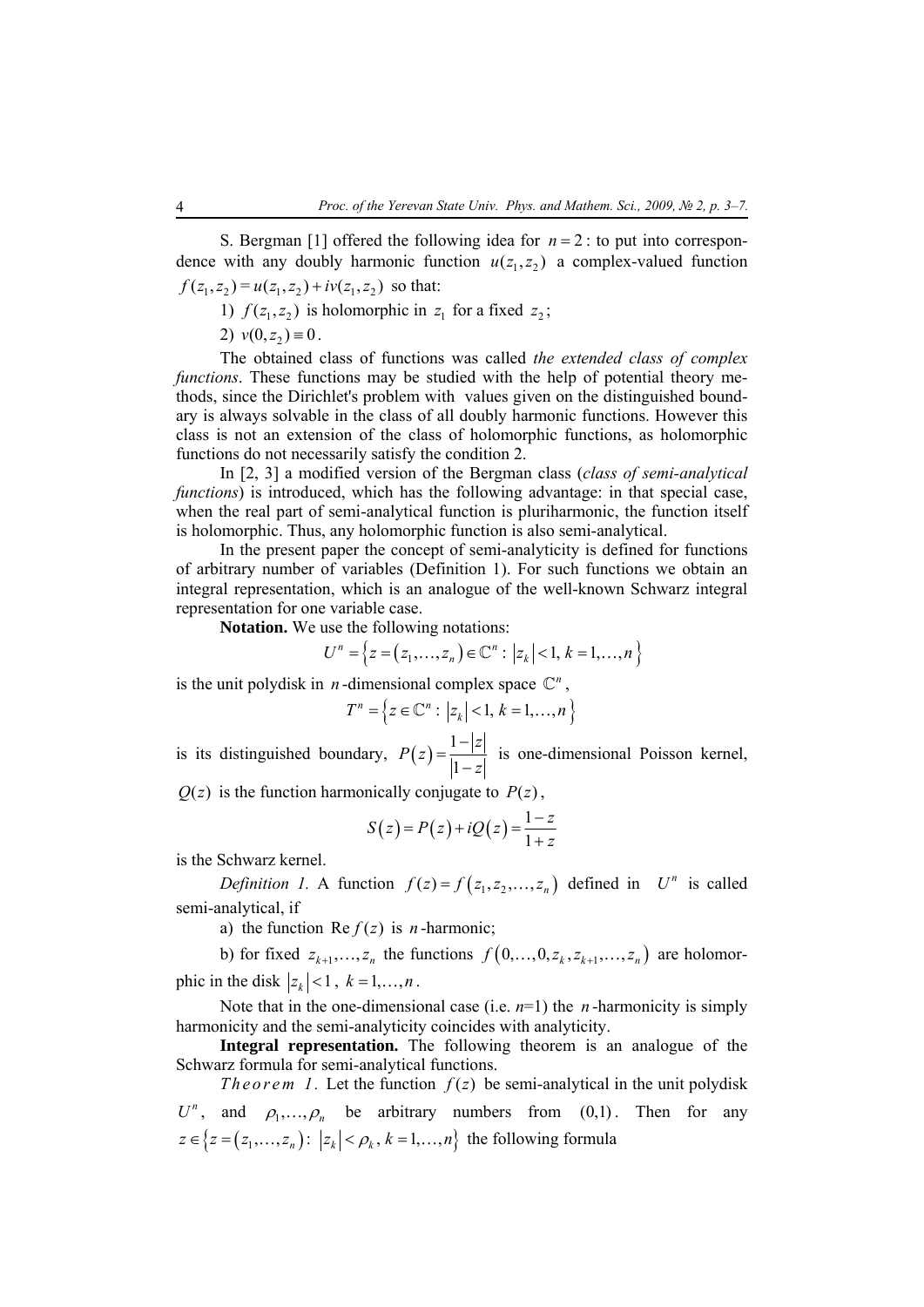S. Bergman [1] offered the following idea for  $n = 2$ : to put into correspondence with any doubly harmonic function  $u(z_1, z_2)$  a complex-valued function  $f(z_1, z_2) = u(z_1, z_2) + iv(z_1, z_2)$  so that:

1)  $f(z_1, z_2)$  is holomorphic in  $z_1$  for a fixed  $z_2$ ;

2)  $v(0, z_2) \equiv 0$ .

The obtained class of functions was called *the extended class of complex functions*. These functions may be studied with the help of potential theory methods, since the Dirichlet's problem with values given on the distinguished boundary is always solvable in the class of all doubly harmonic functions. However this class is not an extension of the class of holomorphic functions, as holomorphic functions do not necessarily satisfy the condition 2.

In [2, 3] a modified version of the Bergman class (*class of semi-analytical functions*) is introduced, which has the following advantage: in that special case, when the real part of semi-analytical function is pluriharmonic, the function itself is holomorphic. Thus, any holomorphic function is also semi-analytical.

In the present paper the concept of semi-analyticity is defined for functions of arbitrary number of variables (Definition 1). For such functions we obtain an integral representation, which is an analogue of the well-known Schwarz integral representation for one variable case.

**Notation.** We use the following notations:

$$
U^{n} = \{ z = (z_{1},...,z_{n}) \in \mathbb{C}^{n} : |z_{k}| < 1, k = 1,...,n \}
$$

is the unit polydisk in *n*-dimensional complex space  $\mathbb{C}^n$ ,

$$
T^n = \{ z \in \mathbb{C}^n : |z_k| < 1, \, k = 1, \dots, n \}
$$

is its distinguished boundary,  $P(z) = \frac{1}{14}$ 1 *z P z*  $=\frac{1-|z|}{|1-z|}$  is one-dimensional Poisson kernel,

 $Q(z)$  is the function harmonically conjugate to  $P(z)$ ,

$$
S(z) = P(z) + iQ(z) = \frac{1-z}{1+z}
$$

is the Schwarz kernel.

*Definition 1.* A function  $f(z) = f(z_1, z_2, ..., z_n)$  defined in  $U^n$  is called semi-analytical, if

a) the function Re  $f(z)$  is *n*-harmonic;

b) for fixed  $z_{k+1}, \ldots, z_n$  the functions  $f\left(0, \ldots, 0, z_k, z_{k+1}, \ldots, z_n\right)$  are holomorphic in the disk  $|z_k|$  < 1,  $k = 1, \ldots, n$ .

Note that in the one-dimensional case (i.e.  $n=1$ ) the *n*-harmonicity is simply harmonicity and the semi-analyticity coincides with analyticity.

**Integral representation.** The following theorem is an analogue of the Schwarz formula for semi-analytical functions.

*Theorem 1.* Let the function  $f(z)$  be semi-analytical in the unit polydisk  $U^n$ , and  $\rho_1, \ldots, \rho_n$  be arbitrary numbers from  $(0,1)$ . Then for any  $z \in \{ z = (z_1, ..., z_n) : |z_k| < \rho_k, k = 1, ..., n \}$  the following formula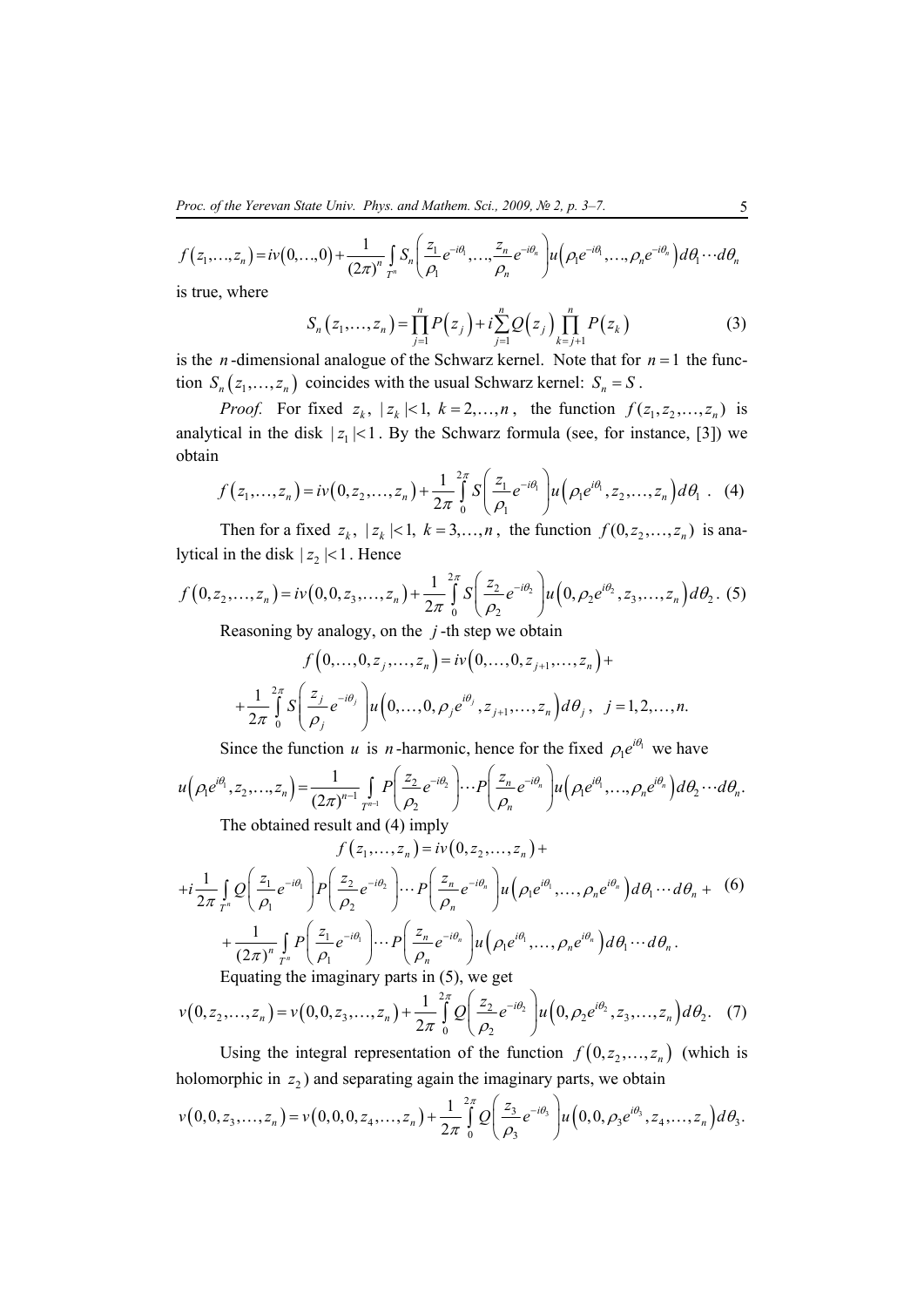$$
f(z_1,...,z_n) = iv(0,...,0) + \frac{1}{(2\pi)^n} \int_{T^n} S_n\left(\frac{z_1}{\rho_1}e^{-i\theta_1},\ldots,\frac{z_n}{\rho_n}e^{-i\theta_n}\right)u\left(\rho_1e^{-i\theta_1},\ldots,\rho_ne^{-i\theta_n}\right)d\theta_1\cdots d\theta_n
$$

is true, where

$$
S_n(z_1,...,z_n) = \prod_{j=1}^n P(z_j) + i \sum_{j=1}^n Q(z_j) \prod_{k=j+1}^n P(z_k)
$$
 (3)

is the *n*-dimensional analogue of the Schwarz kernel. Note that for  $n = 1$  the function  $S_n(z_1,...,z_n)$  coincides with the usual Schwarz kernel:  $S_n = S$ .

*Proof.* For fixed  $z_k$ ,  $|z_k| < 1$ ,  $k = 2,...,n$ , the function  $f(z_1, z_2,...,z_n)$  is analytical in the disk  $|z_1| < 1$ . By the Schwarz formula (see, for instance, [3]) we obtain

$$
f(z_1,...,z_n) = iv(0, z_2,..., z_n) + \frac{1}{2\pi} \int_0^{2\pi} S\left(\frac{z_1}{\rho_1} e^{-i\theta_1}\right) u\left(\rho_1 e^{i\theta_1}, z_2,..., z_n\right) d\theta_1
$$
 (4)

Then for a fixed  $z_k$ ,  $|z_k| < 1$ ,  $k = 3,...,n$ , the function  $f(0, z_2,...,z_n)$  is analytical in the disk  $|z_2|$  < 1. Hence

$$
f(0, z_2,..., z_n) = iv(0, 0, z_3,..., z_n) + \frac{1}{2\pi} \int_0^{2\pi} S\left(\frac{z_2}{\rho_2} e^{-i\theta_2}\right) u\left(0, \rho_2 e^{i\theta_2}, z_3,..., z_n\right) d\theta_2.
$$
 (5)

Reasoning by analogy, on the *j* -th step we obtain

$$
f(0,...,0,z_j,...,z_n) = iv(0,...,0,z_{j+1},...,z_n) +
$$
  
+
$$
\frac{1}{2\pi} \int_0^{2\pi} S\left(\frac{z_j}{\rho_j} e^{-i\theta_j}\right) u\left(0,...,0,\rho_j e^{i\theta_j}, z_{j+1},...,z_n\right) d\theta_j, \quad j = 1,2,...,n.
$$

Since the function *u* is *n*-harmonic, hence for the fixed  $\rho_1 e^{i\theta_1}$  we have

$$
u(\rho_1 e^{i\theta_1}, z_2, ..., z_n) = \frac{1}{(2\pi)^{n-1}} \int_{T^{n-1}} P\left(\frac{z_2}{\rho_2} e^{-i\theta_2}\right) \cdots P\left(\frac{z_n}{\rho_n} e^{-i\theta_n}\right) u(\rho_1 e^{i\theta_1}, ..., \rho_n e^{i\theta_n}) d\theta_2 \cdots d\theta_n.
$$
  
The obtained result and (4) imply

$$
f(z_1,\ldots,z_n) = iv(0,z_2,\ldots,z_n) +
$$

$$
+i\frac{1}{2\pi}\int_{T^n}\mathcal{Q}\left(\frac{z_1}{\rho_1}e^{-i\theta_1}\right)P\left(\frac{z_2}{\rho_2}e^{-i\theta_2}\right)\cdots P\left(\frac{z_n}{\rho_n}e^{-i\theta_n}\right)u\left(\rho_1e^{i\theta_1},\ldots,\rho_ne^{i\theta_n}\right)d\theta_1\cdots d\theta_n + \frac{1}{(2\pi)^n}\int_{T^n}P\left(\frac{z_1}{\rho_1}e^{-i\theta_1}\right)\cdots P\left(\frac{z_n}{\rho_n}e^{-i\theta_n}\right)u\left(\rho_1e^{i\theta_1},\ldots,\rho_ne^{i\theta_n}\right)d\theta_1\cdots d\theta_n.
$$
\nEquating the imaginary parts in (5), we get

Equating the imaginary parts in (5), we get

$$
v(0, z_2,..., z_n) = v(0, 0, z_3,..., z_n) + \frac{1}{2\pi} \int_{0}^{2\pi} Q\left(\frac{z_2}{\rho_2} e^{-i\theta_2}\right) u\left(0, \rho_2 e^{i\theta_2}, z_3,..., z_n\right) d\theta_2.
$$
 (7)

Using the integral representation of the function  $f(0, z_2, \ldots, z_n)$  (which is holomorphic in  $z_2$ ) and separating again the imaginary parts, we obtain

$$
v(0,0,z_3,\ldots,z_n)=v(0,0,0,z_4,\ldots,z_n)+\frac{1}{2\pi}\int_{0}^{2\pi}Q\left(\frac{z_3}{\rho_3}e^{-i\theta_3}\right)u\left(0,0,\rho_3e^{i\theta_3},z_4,\ldots,z_n\right)d\theta_3.
$$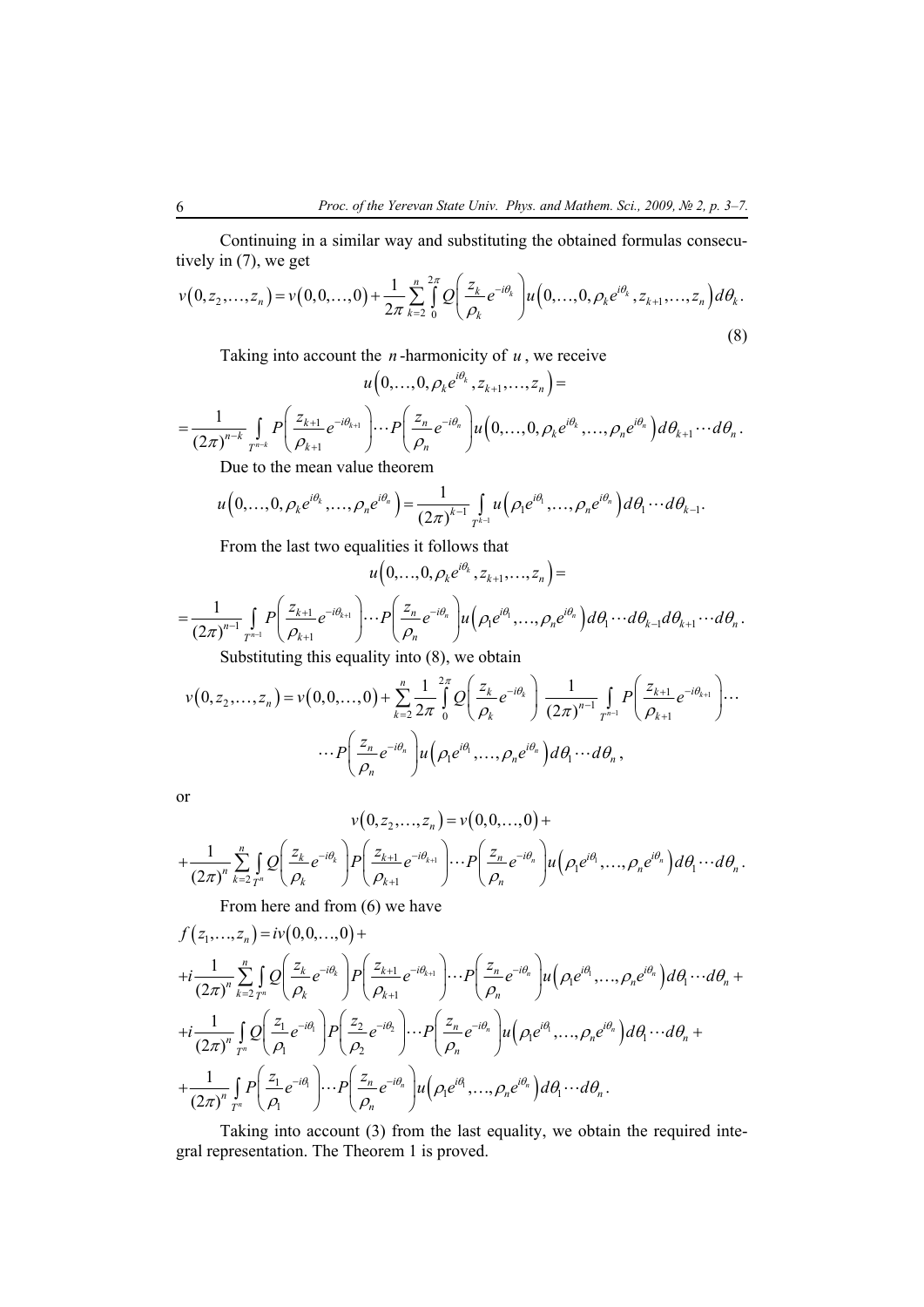Continuing in a similar way and substituting the obtained formulas consecutively in (7), we get

$$
v(0, z_2,..., z_n) = v(0, 0,..., 0) + \frac{1}{2\pi} \sum_{k=2}^{n} \int_{0}^{2\pi} Q\left(\frac{z_k}{\rho_k} e^{-i\theta_k}\right) u\left(0,..., 0, \rho_k e^{i\theta_k}, z_{k+1},..., z_n\right) d\theta_k.
$$
\n(8)

Taking into account the *n* -harmonicity of *u* , we receive

$$
u\left(0,\ldots,0,\rho_{k}e^{i\theta_{k}},z_{k+1},\ldots,z_{n}\right)=
$$
\n
$$
=\frac{1}{\left(2\pi\right)^{n-k}}\int_{T^{n-k}}P\left(\frac{z_{k+1}}{\rho_{k+1}}e^{-i\theta_{k+1}}\right)\cdots P\left(\frac{z_{n}}{\rho_{n}}e^{-i\theta_{n}}\right)u\left(0,\ldots,0,\rho_{k}e^{i\theta_{k}},\ldots,\rho_{n}e^{i\theta_{n}}\right)d\theta_{k+1}\cdots d\theta_{n}.
$$
\nDue to the mean value theorem

Due to the mean value theorem

$$
u(0,\ldots,0,\rho_k e^{i\theta_k},\ldots,\rho_n e^{i\theta_n}) = \frac{1}{(2\pi)^{k-1}} \int_{T^{k-1}} u(\rho_1 e^{i\theta_1},\ldots,\rho_n e^{i\theta_n}) d\theta_1 \cdots d\theta_{k-1}.
$$

From the last two equalities it follows that

$$
u\big(0,\ldots,0,\rho_k e^{i\theta_k},z_{k+1},\ldots,z_n\big)=
$$

$$
=\frac{1}{(2\pi)^{n-1}}\int\limits_{T^{n-1}}P\left(\frac{z_{k+1}}{\rho_{k+1}}e^{-i\theta_{k+1}}\right)\cdots P\left(\frac{z_n}{\rho_n}e^{-i\theta_n}\right)u\left(\rho_1e^{i\theta_1},\ldots,\rho_ne^{i\theta_n}\right)d\theta_1\cdots d\theta_{k-1}d\theta_{k+1}\cdots d\theta_n.
$$
  
Substituting this equality into (8), we obtain

$$
v(0, z_2,..., z_n) = v(0, 0,..., 0) + \sum_{k=2}^n \frac{1}{2\pi} \int_0^{2\pi} Q\left(\frac{z_k}{\rho_k} e^{-i\theta_k}\right) \frac{1}{(2\pi)^{n-1}} \int_{T^{n-1}} \int_{\rho_{k+1}} P\left(\frac{z_{k+1}}{\rho_{k+1}} e^{-i\theta_{k+1}}\right) \cdots
$$

$$
\cdots P\left(\frac{z_n}{\rho_n} e^{-i\theta_n}\right) u\left(\rho_1 e^{i\theta_1}, \dots, \rho_n e^{i\theta_n}\right) d\theta_1 \cdots d\theta_n,
$$

or

$$
v(0, z_2,..., z_n) = v(0, 0,..., 0) +
$$
  
+ 
$$
\frac{1}{(2\pi)^n} \sum_{k=2}^n \int_{\Gamma^n} Q\left(\frac{z_k}{\rho_k} e^{-i\theta_k}\right) P\left(\frac{z_{k+1}}{\rho_{k+1}} e^{-i\theta_{k+1}}\right) \cdots P\left(\frac{z_n}{\rho_n} e^{-i\theta_n}\right) u\left(\rho_1 e^{i\theta_1}, \ldots, \rho_n e^{i\theta_n}\right) d\theta_1 \cdots d\theta_n.
$$

From here and from (6) we have

$$
f(z_1,...,z_n) = iv(0,0,...,0) +
$$
  
+ $i \frac{1}{(2\pi)^n} \sum_{k=2}^n \int_{T^n} Q\left(\frac{z_k}{\rho_k} e^{-i\theta_k}\right) P\left(\frac{z_{k+1}}{\rho_{k+1}} e^{-i\theta_{k+1}}\right) \cdots P\left(\frac{z_n}{\rho_n} e^{-i\theta_n}\right) u\left(\rho_1 e^{i\theta_1}, \ldots, \rho_n e^{i\theta_n}\right) d\theta_1 \cdots d\theta_n +$   
+ $i \frac{1}{(2\pi)^n} \int_{T^n} Q\left(\frac{z_1}{\rho_1} e^{-i\theta_1}\right) P\left(\frac{z_2}{\rho_2} e^{-i\theta_2}\right) \cdots P\left(\frac{z_n}{\rho_n} e^{-i\theta_n}\right) u\left(\rho_1 e^{i\theta_1}, \ldots, \rho_n e^{i\theta_n}\right) d\theta_1 \cdots d\theta_n +$   
+ $\frac{1}{(2\pi)^n} \int_{T^n} P\left(\frac{z_1}{\rho_1} e^{-i\theta_1}\right) \cdots P\left(\frac{z_n}{\rho_n} e^{-i\theta_n}\right) u\left(\rho_1 e^{i\theta_1}, \ldots, \rho_n e^{i\theta_n}\right) d\theta_1 \cdots d\theta_n.$ 

Taking into account (3) from the last equality, we obtain the required integral representation. The Theorem 1 is proved.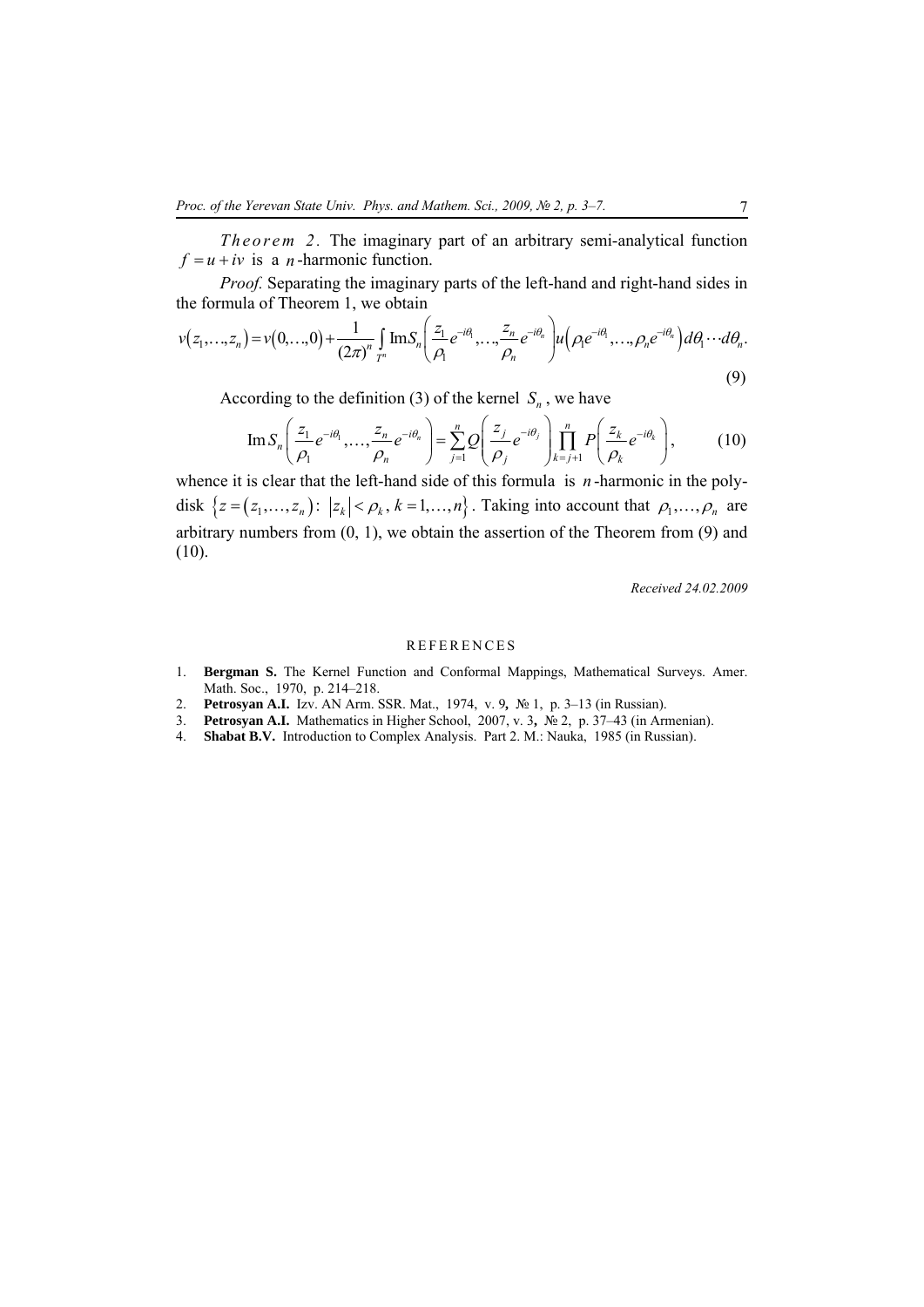*Theorem 2.* The imaginary part of an arbitrary semi-analytical function  $f = u + iv$  is a *n*-harmonic function.

*Proof.* Separating the imaginary parts of the left-hand and right-hand sides in the formula of Theorem 1, we obtain

$$
v(z_1,...,z_n) = v(0,...,0) + \frac{1}{(2\pi)^n} \int_{T^n} \text{Im} S_n \left( \frac{z_1}{\rho_1} e^{-i\theta_1}, \dots, \frac{z_n}{\rho_n} e^{-i\theta_n} \right) u \left( \rho_1 e^{-i\theta_1}, \dots, \rho_n e^{-i\theta_n} \right) d\theta_1 \cdots d\theta_n.
$$
\n(9)

According to the definition (3) of the kernel  $S_n$ , we have

$$
\operatorname{Im} S_n\left(\frac{z_1}{\rho_1}e^{-i\theta_1},\ldots,\frac{z_n}{\rho_n}e^{-i\theta_n}\right) = \sum_{j=1}^n \mathcal{Q}\left(\frac{z_j}{\rho_j}e^{-i\theta_j}\right)\prod_{k=j+1}^n P\left(\frac{z_k}{\rho_k}e^{-i\theta_k}\right),\tag{10}
$$

whence it is clear that the left-hand side of this formula is *n* -harmonic in the polydisk  $\{z = (z_1, \ldots, z_n): |z_k| < \rho_k, k = 1, \ldots, n\}$ . Taking into account that  $\rho_1, \ldots, \rho_n$  are arbitrary numbers from (0, 1), we obtain the assertion of the Theorem from (9) and (10).

*Received 24.02.2009* 

### REFERENCES

- 1. **Bergman S.** The Kernel Function and Conformal Mappings, Mathematical Surveys. Amer. Math. Soc., 1970, p. 214–218.
- 2. **Petrosyan A.I.** Izv. AN Arm. SSR. Mat., 1974, v. 9**,** № 1, p. 3–13 (in Russian).
- 3. **Petrosyan A.I.** Mathematics in Higher School, 2007, v. 3**,** № 2, p. 37–43 (in Armenian).
- 4. **Shabat B.V.** Introduction to Complex Analysis. Part 2. M.: Nauka, 1985 (in Russian).